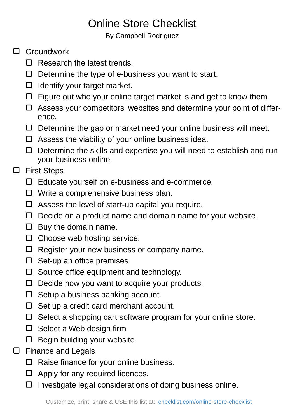## Online Store Checklist

By Campbell Rodriguez

## □ Groundwork

- $\Box$  Research the latest trends.
- $\Box$  Determine the type of e-business you want to start.
- $\Box$  Identify your target market.
- $\Box$  Figure out who your online target market is and get to know them.
- $\Box$  Assess your competitors' websites and determine your point of difference.
- $\Box$  Determine the gap or market need your online business will meet.
- $\Box$  Assess the viability of your online business idea.
- $\Box$  Determine the skills and expertise you will need to establish and run your business online.

## □ First Steps

- $\Box$  Educate yourself on e-business and e-commerce.
- $\Box$  Write a comprehensive business plan.
- $\Box$  Assess the level of start-up capital you require.
- $\Box$  Decide on a product name and domain name for your website.
- $\Box$  Buy the domain name.
- $\Box$  Choose web hosting service.
- $\Box$  Register your new business or company name.
- $\Box$  Set-up an office premises.
- $\Box$  Source office equipment and technology.
- $\Box$  Decide how you want to acquire your products.
- $\Box$  Setup a business banking account.
- $\Box$  Set up a credit card merchant account.
- $\Box$  Select a shopping cart software program for your online store.
- $\square$  Select a Web design firm
- $\Box$  Begin building your website.
- $\square$  Finance and Legals
	- $\Box$  Raise finance for your online business.
	- $\Box$  Apply for any required licences.
	- $\square$  Investigate legal considerations of doing business online.